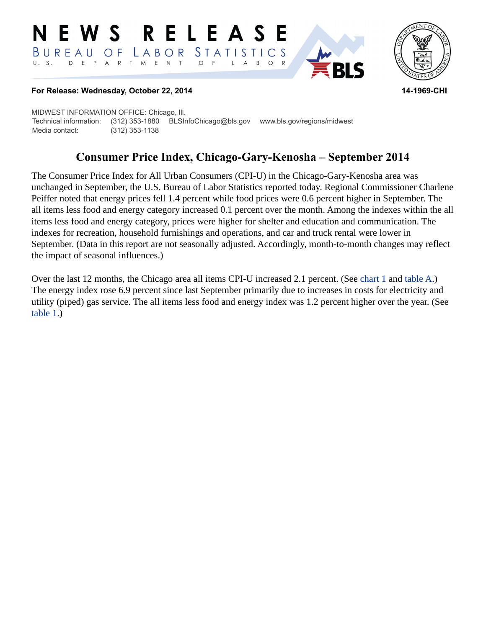#### **RELEASE** E W S STATISTICS BUREAU  $\overline{O}$  F LABOR D E P A R T M E N T  $U. S.$  $\circ$  $\overline{F}$  $\overline{A}$ B  $\circ$  $\mathsf{L}$



**RI S** 

#### **For Release: Wednesday, October 22, 2014 14-1969-CHI**

MIDWEST INFORMATION OFFICE: Chicago, Ill. Technical information: (312) 353-1880 BLSInfoChicago@bls.gov www.bls.gov/regions/midwest Media contact: (312) 353-1138

# **Consumer Price Index, Chicago-Gary-Kenosha – September 2014**

The Consumer Price Index for All Urban Consumers (CPI-U) in the Chicago-Gary-Kenosha area was unchanged in September, the U.S. Bureau of Labor Statistics reported today. Regional Commissioner Charlene Peiffer noted that energy prices fell 1.4 percent while food prices were 0.6 percent higher in September. The all items less food and energy category increased 0.1 percent over the month. Among the indexes within the all items less food and energy category, prices were higher for shelter and education and communication. The indexes for recreation, household furnishings and operations, and car and truck rental were lower in September. (Data in this report are not seasonally adjusted. Accordingly, month-to-month changes may reflect the impact of seasonal influences.)

Over the last 12 months, the Chicago area all items CPI-U increased 2.1 percent. (See [chart 1](#page-1-0) and [table A](#page-2-0).) The energy index rose 6.9 percent since last September primarily due to increases in costs for electricity and utility (piped) gas service. The all items less food and energy index was 1.2 percent higher over the year. (See [table 1.](#page-4-0))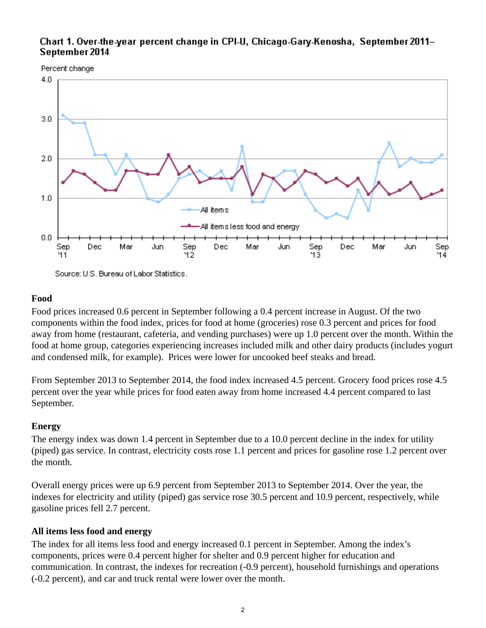# <span id="page-1-0"></span>Chart 1. Over-the-year percent change in CPI-U, Chicago-Gary-Kenosha, September 2011-September 2014





Source: U.S. Bureau of Labor Statistics.

#### **Food**

Food prices increased 0.6 percent in September following a 0.4 percent increase in August. Of the two components within the food index, prices for food at home (groceries) rose 0.3 percent and prices for food away from home (restaurant, cafeteria, and vending purchases) were up 1.0 percent over the month. Within the food at home group, categories experiencing increases included milk and other dairy products (includes yogurt and condensed milk, for example). Prices were lower for uncooked beef steaks and bread.

From September 2013 to September 2014, the food index increased 4.5 percent. Grocery food prices rose 4.5 percent over the year while prices for food eaten away from home increased 4.4 percent compared to last September.

## **Energy**

The energy index was down 1.4 percent in September due to a 10.0 percent decline in the index for utility (piped) gas service. In contrast, electricity costs rose 1.1 percent and prices for gasoline rose 1.2 percent over the month.

Overall energy prices were up 6.9 percent from September 2013 to September 2014. Over the year, the indexes for electricity and utility (piped) gas service rose 30.5 percent and 10.9 percent, respectively, while gasoline prices fell 2.7 percent.

## **All items less food and energy**

The index for all items less food and energy increased 0.1 percent in September. Among the index's components, prices were 0.4 percent higher for shelter and 0.9 percent higher for education and communication. In contrast, the indexes for recreation (-0.9 percent), household furnishings and operations (-0.2 percent), and car and truck rental were lower over the month.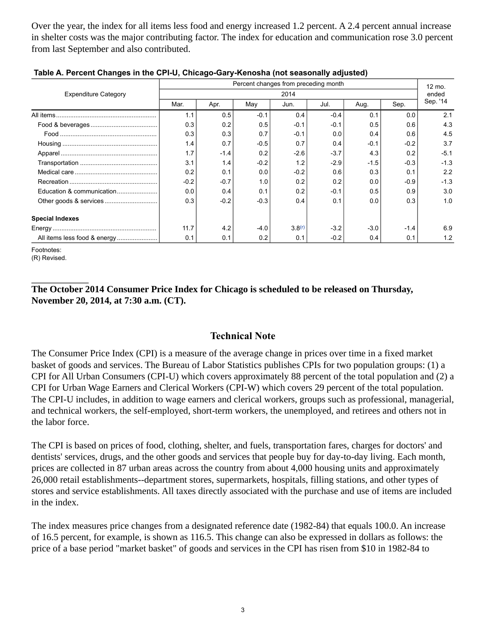Over the year, the index for all items less food and energy increased 1.2 percent. A 2.4 percent annual increase in shelter costs was the major contributing factor. The index for education and communication rose 3.0 percent from last September and also contributed.

|                             | Percent changes from preceding month |        |        |                    |        |        |        |                 |
|-----------------------------|--------------------------------------|--------|--------|--------------------|--------|--------|--------|-----------------|
| <b>Expenditure Category</b> | 2014                                 |        |        |                    |        |        |        | 12 mo.<br>ended |
|                             | Mar.                                 | Apr.   | May    | Jun.               | Jul.   | Aug.   | Sep.   | Sep. '14        |
|                             | 1.1                                  | 0.5    | $-0.1$ | 0.4                | $-0.4$ | 0.1    | 0.0    | 2.1             |
|                             | 0.3                                  | 0.2    | 0.5    | $-0.1$             | $-0.1$ | 0.5    | 0.6    | 4.3             |
|                             | 0.3                                  | 0.3    | 0.7    | $-0.1$             | 0.0    | 0.4    | 0.6    | 4.5             |
|                             | 1.4                                  | 0.7    | $-0.5$ | 0.7                | 0.4    | $-0.1$ | $-0.2$ | 3.7             |
|                             | 1.7                                  | $-1.4$ | 0.2    | $-2.6$             | $-3.7$ | 4.3    | 0.2    | $-5.1$          |
|                             | 3.1                                  | 1.4    | $-0.2$ | 1.2                | $-2.9$ | $-1.5$ | $-0.3$ | $-1.3$          |
|                             | 0.2                                  | 0.1    | 0.0    | $-0.2$             | 0.6    | 0.3    | 0.1    | 2.2             |
|                             | $-0.2$                               | $-0.7$ | 1.0    | 0.2                | 0.2    | 0.0    | $-0.9$ | $-1.3$          |
| Education & communication   | 0.0                                  | 0.4    | 0.1    | 0.2                | $-0.1$ | 0.5    | 0.9    | 3.0             |
|                             | 0.3                                  | $-0.2$ | $-0.3$ | 0.4                | 0.1    | 0.0    | 0.3    | 1.0             |
| <b>Special Indexes</b>      |                                      |        |        |                    |        |        |        |                 |
|                             | 11.7                                 | 4.2    | $-4.0$ | 3.8 <sup>(r)</sup> | $-3.2$ | $-3.0$ | $-1.4$ | 6.9             |
|                             | 0.1                                  | 0.1    | 0.2    | 0.1                | $-0.2$ | 0.4    | 0.1    | 1.2             |

#### <span id="page-2-0"></span>**Table A. Percent Changes in the CPI-U, Chicago-Gary-Kenosha (not seasonally adjusted)**

Footnotes:

<span id="page-2-1"></span>(R) Revised.

# **The October 2014 Consumer Price Index for Chicago is scheduled to be released on Thursday, November 20, 2014, at 7:30 a.m. (CT).**

# **Technical Note**

The Consumer Price Index (CPI) is a measure of the average change in prices over time in a fixed market basket of goods and services. The Bureau of Labor Statistics publishes CPIs for two population groups: (1) a CPI for All Urban Consumers (CPI-U) which covers approximately 88 percent of the total population and (2) a CPI for Urban Wage Earners and Clerical Workers (CPI-W) which covers 29 percent of the total population. The CPI-U includes, in addition to wage earners and clerical workers, groups such as professional, managerial, and technical workers, the self-employed, short-term workers, the unemployed, and retirees and others not in the labor force.

The CPI is based on prices of food, clothing, shelter, and fuels, transportation fares, charges for doctors' and dentists' services, drugs, and the other goods and services that people buy for day-to-day living. Each month, prices are collected in 87 urban areas across the country from about 4,000 housing units and approximately 26,000 retail establishments--department stores, supermarkets, hospitals, filling stations, and other types of stores and service establishments. All taxes directly associated with the purchase and use of items are included in the index.

The index measures price changes from a designated reference date (1982-84) that equals 100.0. An increase of 16.5 percent, for example, is shown as 116.5. This change can also be expressed in dollars as follows: the price of a base period "market basket" of goods and services in the CPI has risen from \$10 in 1982-84 to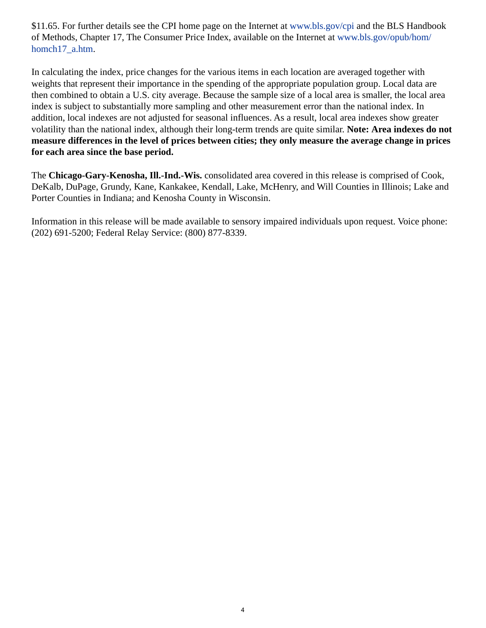\$11.65. For further details see the CPI home page on the Internet at [www.bls.gov/cpi](https://www.bls.gov/cpi) and the BLS Handbook of Methods, Chapter 17, The Consumer Price Index, available on the Internet at [www.bls.gov/opub/hom/](https://www.bls.gov/opub/hom/homch17_a.htm) [homch17\\_a.htm](https://www.bls.gov/opub/hom/homch17_a.htm).

In calculating the index, price changes for the various items in each location are averaged together with weights that represent their importance in the spending of the appropriate population group. Local data are then combined to obtain a U.S. city average. Because the sample size of a local area is smaller, the local area index is subject to substantially more sampling and other measurement error than the national index. In addition, local indexes are not adjusted for seasonal influences. As a result, local area indexes show greater volatility than the national index, although their long-term trends are quite similar. **Note: Area indexes do not measure differences in the level of prices between cities; they only measure the average change in prices for each area since the base period.**

The **Chicago-Gary-Kenosha, Ill.-Ind.-Wis.** consolidated area covered in this release is comprised of Cook, DeKalb, DuPage, Grundy, Kane, Kankakee, Kendall, Lake, McHenry, and Will Counties in Illinois; Lake and Porter Counties in Indiana; and Kenosha County in Wisconsin.

Information in this release will be made available to sensory impaired individuals upon request. Voice phone: (202) 691-5200; Federal Relay Service: (800) 877-8339.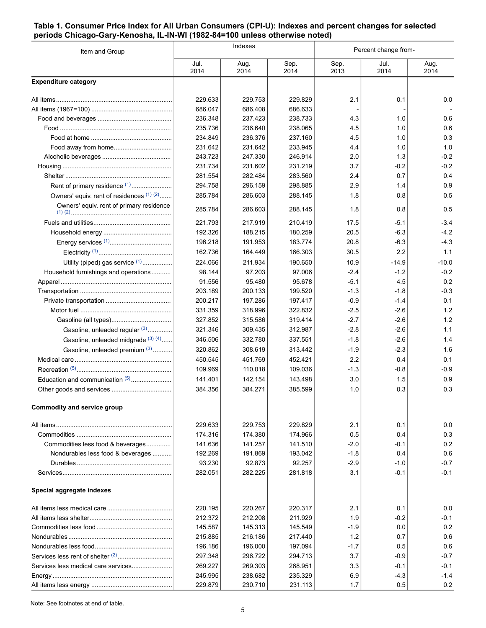#### <span id="page-4-0"></span>**Table 1. Consumer Price Index for All Urban Consumers (CPI-U): Indexes and percent changes for selected periods Chicago-Gary-Kenosha, IL-IN-WI (1982-84=100 unless otherwise noted)**

| Item and Group                            |              | Indexes      |              | Percent change from- |              |              |
|-------------------------------------------|--------------|--------------|--------------|----------------------|--------------|--------------|
|                                           | Jul.<br>2014 | Aug.<br>2014 | Sep.<br>2014 | Sep.<br>2013         | Jul.<br>2014 | Aug.<br>2014 |
| <b>Expenditure category</b>               |              |              |              |                      |              |              |
|                                           | 229.633      | 229.753      | 229.829      | 2.1                  | 0.1          | 0.0          |
|                                           | 686.047      | 686.408      | 686.633      |                      |              |              |
|                                           | 236.348      | 237.423      | 238.733      | 4.3                  | 1.0          | 0.6          |
|                                           | 235.736      | 236.640      | 238.065      | 4.5                  | 1.0          | 0.6          |
|                                           | 234.849      | 236.376      | 237.160      | 4.5                  | 1.0          | 0.3          |
|                                           | 231.642      | 231.642      | 233.945      | 4.4                  | 1.0          | 1.0          |
|                                           | 243.723      | 247.330      | 246.914      | 2.0                  | 1.3          | $-0.2$       |
|                                           | 231.734      | 231.602      | 231.219      | 3.7                  | $-0.2$       | $-0.2$       |
|                                           | 281.554      | 282.484      | 283.560      | 2.4                  | 0.7          | 0.4          |
| Rent of primary residence <sup>(1)</sup>  | 294.758      | 296.159      | 298.885      | 2.9                  | 1.4          | 0.9          |
| Owners' equiv. rent of residences (1) (2) | 285.784      | 286.603      | 288.145      | 1.8                  | 0.8          | 0.5          |
| Owners' equiv. rent of primary residence  | 285.784      | 286.603      | 288.145      | 1.8                  | 0.8          | 0.5          |
|                                           | 221.793      | 217.919      | 210.419      | 17.5                 | $-5.1$       | $-3.4$       |
|                                           | 192.326      | 188.215      | 180.259      | 20.5                 | $-6.3$       | $-4.2$       |
|                                           | 196.218      | 191.953      | 183.774      | 20.8                 | $-6.3$       | $-4.3$       |
|                                           | 162.736      | 164.449      | 166.303      | 30.5                 | 2.2          | 1.1          |
| Utility (piped) gas service (1)           | 224.066      | 211.934      | 190.650      | 10.9                 | $-14.9$      | $-10.0$      |
| Household furnishings and operations      | 98.144       | 97.203       | 97.006       | $-2.4$               | $-1.2$       | $-0.2$       |
|                                           | 91.556       | 95.480       | 95.678       | $-5.1$               | 4.5          | 0.2          |
|                                           | 203.189      | 200.133      | 199.520      | $-1.3$               | $-1.8$       | $-0.3$       |
|                                           | 200.217      | 197.286      | 197.417      | $-0.9$               | $-1.4$       | 0.1          |
|                                           | 331.359      | 318.996      | 322.832      | $-2.5$               | $-2.6$       | 1.2          |
|                                           | 327.852      | 315.586      | 319.414      | $-2.7$               | $-2.6$       | 1.2          |
| Gasoline, unleaded regular (3)            | 321.346      | 309.435      | 312.987      | $-2.8$               | $-2.6$       | 1.1          |
| Gasoline, unleaded midgrade (3) (4)       | 346.506      | 332.780      | 337.551      | $-1.8$               | $-2.6$       | 1.4          |
| Gasoline, unleaded premium (3)            | 320.862      | 308.619      | 313.442      | $-1.9$               | $-2.3$       | 1.6          |
|                                           | 450.545      | 451.769      | 452.421      | 2.2                  | 0.4          | 0.1          |
|                                           | 109.969      | 110.018      | 109.036      | $-1.3$               | $-0.8$       | $-0.9$       |
| Education and communication (5)           | 141.401      | 142.154      | 143.498      | 3.0                  | 1.5          | 0.9          |
|                                           | 384.356      | 384.271      | 385.599      | 1.0                  | 0.3          | 0.3          |
| <b>Commodity and service group</b>        |              |              |              |                      |              |              |
|                                           | 229.633      | 229.753      | 229.829      | 2.1                  | 0.1          | 0.0          |
|                                           | 174.316      | 174.380      | 174.966      | 0.5                  | 0.4          | 0.3          |
| Commodities less food & beverages         | 141.636      | 141.257      | 141.510      | $-2.0$               | $-0.1$       | 0.2          |
| Nondurables less food & beverages         | 192.269      | 191.869      | 193.042      | $-1.8$               | 0.4          | 0.6          |
|                                           | 93.230       | 92.873       | 92.257       | $-2.9$               | $-1.0$       | $-0.7$       |
|                                           | 282.051      | 282.225      | 281.818      | 3.1                  | $-0.1$       | $-0.1$       |
| Special aggregate indexes                 |              |              |              |                      |              |              |
|                                           | 220.195      | 220.267      | 220.317      | 2.1                  | 0.1          | 0.0          |
|                                           | 212.372      | 212.208      | 211.929      | 1.9                  | $-0.2$       | $-0.1$       |
|                                           | 145.587      | 145.313      | 145.549      | $-1.9$               | 0.0          | 0.2          |
|                                           | 215.885      | 216.186      | 217.440      | 1.2                  | 0.7          | 0.6          |
|                                           | 196.186      | 196.000      | 197.094      | $-1.7$               | 0.5          | 0.6          |
|                                           | 297.348      | 296.722      | 294.713      | 3.7                  | $-0.9$       | $-0.7$       |
| Services less medical care services       | 269.227      | 269.303      | 268.951      | 3.3                  | $-0.1$       | $-0.1$       |
|                                           | 245.995      | 238.682      | 235.329      | 6.9                  | $-4.3$       | $-1.4$       |
|                                           | 229.879      | 230.710      | 231.113      | 1.7                  | 0.5          | 0.2          |

Note: See footnotes at end of table.